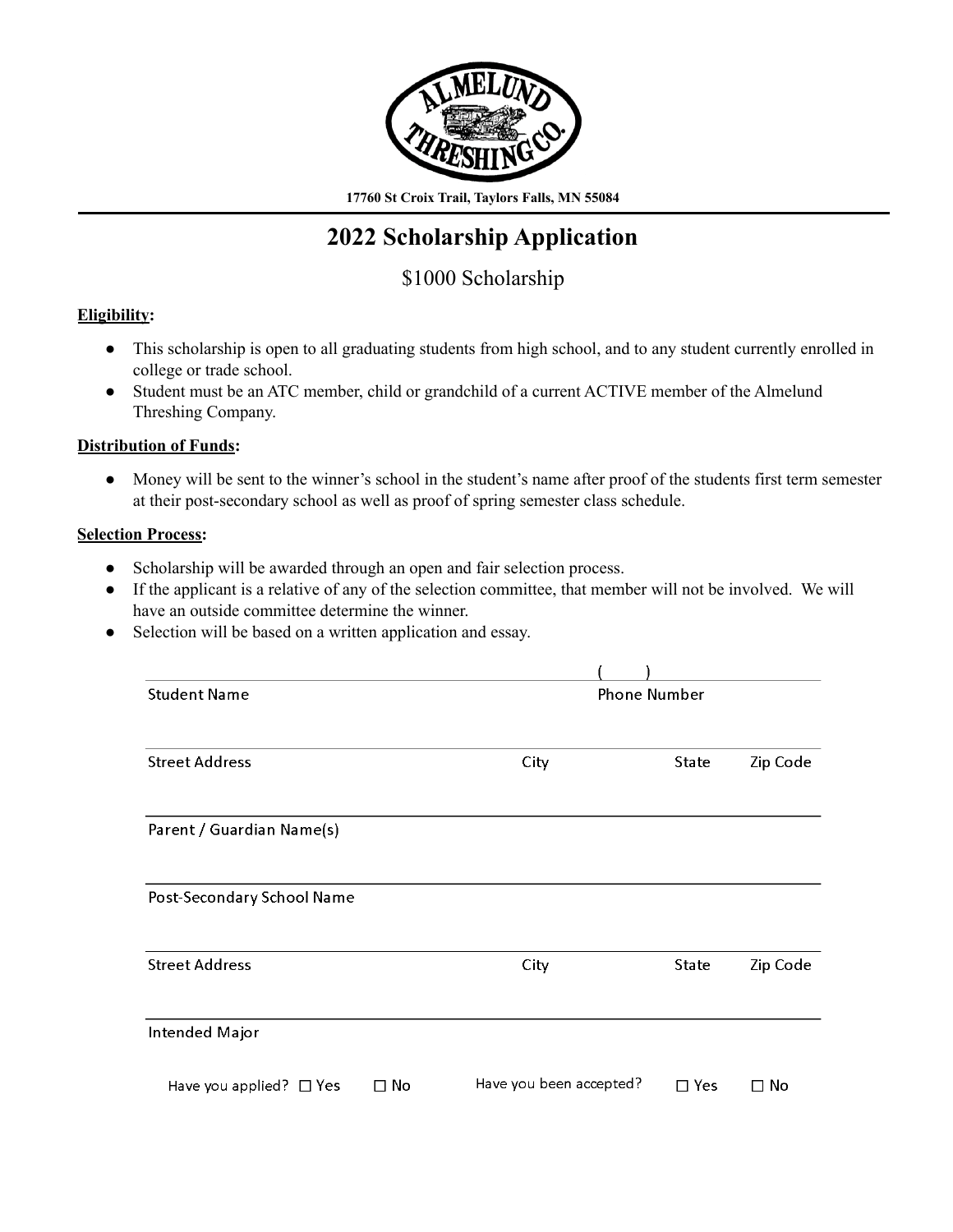

**17760 St Croix Trail, Taylors Falls, MN 55084**

# **2022 Scholarship Application**

# \$1000 Scholarship

# **Eligibility:**

- This scholarship is open to all graduating students from high school, and to any student currently enrolled in college or trade school.
- Student must be an ATC member, child or grandchild of a current ACTIVE member of the Almelund Threshing Company.

## **Distribution of Funds:**

● Money will be sent to the winner's school in the student's name after proof of the students first term semester at their post-secondary school as well as proof of spring semester class schedule.

### **Selection Process:**

- Scholarship will be awarded through an open and fair selection process.
- If the applicant is a relative of any of the selection committee, that member will not be involved. We will have an outside committee determine the winner.
- Selection will be based on a written application and essay.

| <b>Student Name</b>          |           | <b>Phone Number</b>     |            |           |  |
|------------------------------|-----------|-------------------------|------------|-----------|--|
|                              |           |                         |            |           |  |
| <b>Street Address</b>        |           | City                    | State      | Zip Code  |  |
| Parent / Guardian Name(s)    |           |                         |            |           |  |
| Post-Secondary School Name   |           |                         |            |           |  |
| <b>Street Address</b>        |           | City                    | State      | Zip Code  |  |
| Intended Major               |           |                         |            |           |  |
| Have you applied? $\Box$ Yes | $\Box$ No | Have you been accepted? | $\Box$ Yes | $\Box$ No |  |